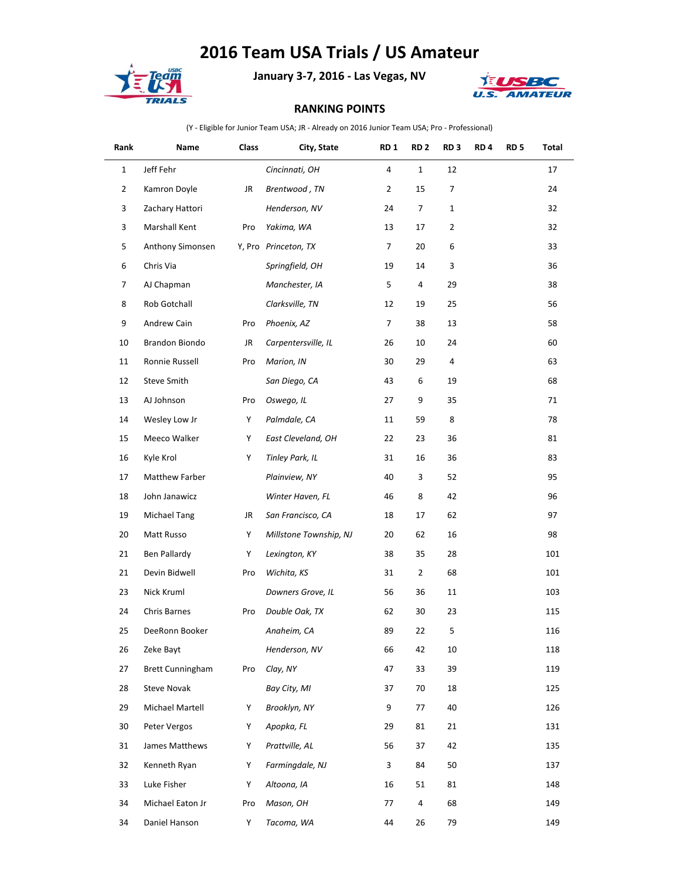## **2016 Team USA Trials / US Amateur**



**January 3-7, 2016 - Las Vegas, NV**



## **RANKING POINTS**

(Y - Eligible for Junior Team USA; JR - Already on 2016 Junior Team USA; Pro - Professional)

| Rank           | Name                    | Class | City, State            | RD <sub>1</sub> | RD <sub>2</sub> | RD <sub>3</sub> | RD <sub>4</sub> | RD 5 | Total |
|----------------|-------------------------|-------|------------------------|-----------------|-----------------|-----------------|-----------------|------|-------|
| $\mathbf{1}$   | Jeff Fehr               |       | Cincinnati, OH         | 4               | $\mathbf{1}$    | 12              |                 |      | 17    |
| $\overline{2}$ | Kamron Doyle            | JR    | Brentwood, TN          | $\overline{2}$  | 15              | 7               |                 |      | 24    |
| 3              | Zachary Hattori         |       | Henderson, NV          | 24              | 7               | $\mathbf{1}$    |                 |      | 32    |
| 3              | Marshall Kent           | Pro   | Yakima, WA             | 13              | 17              | $\overline{2}$  |                 |      | 32    |
| 5              | Anthony Simonsen        |       | Y, Pro Princeton, TX   | 7               | 20              | 6               |                 |      | 33    |
| 6              | Chris Via               |       | Springfield, OH        | 19              | 14              | 3               |                 |      | 36    |
| 7              | AJ Chapman              |       | Manchester, IA         | 5               | 4               | 29              |                 |      | 38    |
| 8              | Rob Gotchall            |       | Clarksville, TN        | 12              | 19              | 25              |                 |      | 56    |
| 9              | Andrew Cain             | Pro   | Phoenix, AZ            | 7               | 38              | 13              |                 |      | 58    |
| 10             | Brandon Biondo          | JR    | Carpentersville, IL    | 26              | 10              | 24              |                 |      | 60    |
| 11             | Ronnie Russell          | Pro   | Marion, IN             | 30              | 29              | $\overline{4}$  |                 |      | 63    |
| 12             | Steve Smith             |       | San Diego, CA          | 43              | 6               | 19              |                 |      | 68    |
| 13             | AJ Johnson              | Pro   | Oswego, IL             | 27              | 9               | 35              |                 |      | 71    |
| 14             | Wesley Low Jr           | Υ     | Palmdale, CA           | 11              | 59              | 8               |                 |      | 78    |
| 15             | Meeco Walker            | Υ     | East Cleveland, OH     | 22              | 23              | 36              |                 |      | 81    |
| 16             | Kyle Krol               | Y     | Tinley Park, IL        | 31              | 16              | 36              |                 |      | 83    |
| 17             | Matthew Farber          |       | Plainview, NY          | 40              | 3               | 52              |                 |      | 95    |
| 18             | John Janawicz           |       | Winter Haven, FL       | 46              | 8               | 42              |                 |      | 96    |
| 19             | Michael Tang            | JR    | San Francisco, CA      | 18              | 17              | 62              |                 |      | 97    |
| 20             | Matt Russo              | Y     | Millstone Township, NJ | 20              | 62              | 16              |                 |      | 98    |
| 21             | Ben Pallardy            | Υ     | Lexington, KY          | 38              | 35              | 28              |                 |      | 101   |
| 21             | Devin Bidwell           | Pro   | Wichita, KS            | 31              | $\overline{2}$  | 68              |                 |      | 101   |
| 23             | Nick Kruml              |       | Downers Grove, IL      | 56              | 36              | 11              |                 |      | 103   |
| 24             | Chris Barnes            | Pro   | Double Oak, TX         | 62              | 30              | 23              |                 |      | 115   |
| 25             | DeeRonn Booker          |       | Anaheim, CA            | 89              | 22              | 5               |                 |      | 116   |
| 26             | Zeke Bayt               |       | Henderson, NV          | 66              | 42              | 10              |                 |      | 118   |
| 27             | <b>Brett Cunningham</b> | Pro   | Clay, NY               | 47              | 33              | 39              |                 |      | 119   |
| 28             | <b>Steve Novak</b>      |       | Bay City, MI           | 37              | 70              | 18              |                 |      | 125   |
| 29             | Michael Martell         | Υ     | Brooklyn, NY           | 9               | 77              | 40              |                 |      | 126   |
| 30             | Peter Vergos            | Υ     | Apopka, FL             | 29              | 81              | 21              |                 |      | 131   |
| 31             | James Matthews          | Υ     | Prattville, AL         | 56              | 37              | 42              |                 |      | 135   |
| 32             | Kenneth Ryan            | Υ     | Farmingdale, NJ        | 3               | 84              | 50              |                 |      | 137   |
| 33             | Luke Fisher             | Y     | Altoona, IA            | 16              | 51              | 81              |                 |      | 148   |
| 34             | Michael Eaton Jr        | Pro   | Mason, OH              | 77              | 4               | 68              |                 |      | 149   |
| 34             | Daniel Hanson           | Υ     | Tacoma, WA             | 44              | 26              | 79              |                 |      | 149   |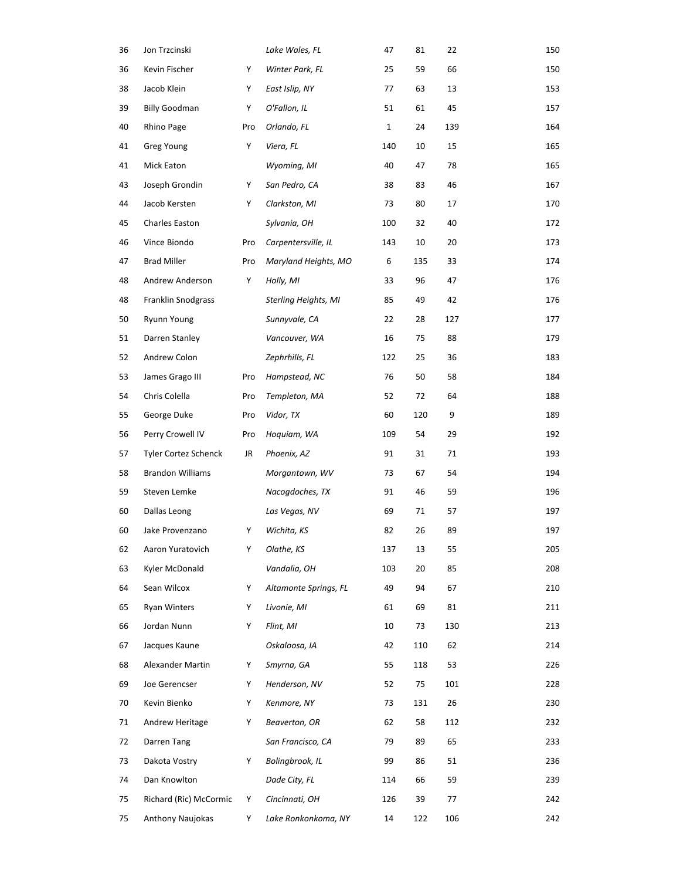| 36 | Jon Trzcinski           |     | Lake Wales, FL        | 47          | 81  | 22  | 150 |
|----|-------------------------|-----|-----------------------|-------------|-----|-----|-----|
| 36 | Kevin Fischer           | Y   | Winter Park, FL       | 25          | 59  | 66  | 150 |
| 38 | Jacob Klein             | Y   | East Islip, NY        | 77          | 63  | 13  | 153 |
| 39 | <b>Billy Goodman</b>    | Y   | O'Fallon, IL          | 51          | 61  | 45  | 157 |
| 40 | Rhino Page              | Pro | Orlando, FL           | $\mathbf 1$ | 24  | 139 | 164 |
| 41 | Greg Young              | Y   | Viera, FL             | 140         | 10  | 15  | 165 |
| 41 | Mick Eaton              |     | Wyoming, MI           | 40          | 47  | 78  | 165 |
| 43 | Joseph Grondin          | Y   | San Pedro, CA         | 38          | 83  | 46  | 167 |
| 44 | Jacob Kersten           | Y   | Clarkston, MI         | 73          | 80  | 17  | 170 |
| 45 | Charles Easton          |     | Sylvania, OH          | 100         | 32  | 40  | 172 |
| 46 | Vince Biondo            | Pro | Carpentersville, IL   | 143         | 10  | 20  | 173 |
| 47 | <b>Brad Miller</b>      | Pro | Maryland Heights, MO  | 6           | 135 | 33  | 174 |
| 48 | Andrew Anderson         | Y   | Holly, MI             | 33          | 96  | 47  | 176 |
| 48 | Franklin Snodgrass      |     | Sterling Heights, MI  | 85          | 49  | 42  | 176 |
| 50 | Ryunn Young             |     | Sunnyvale, CA         | 22          | 28  | 127 | 177 |
| 51 | Darren Stanley          |     | Vancouver, WA         | 16          | 75  | 88  | 179 |
| 52 | Andrew Colon            |     | Zephrhills, FL        | 122         | 25  | 36  | 183 |
| 53 | James Grago III         | Pro | Hampstead, NC         | 76          | 50  | 58  | 184 |
| 54 | Chris Colella           | Pro | Templeton, MA         | 52          | 72  | 64  | 188 |
| 55 | George Duke             | Pro | Vidor, TX             | 60          | 120 | 9   | 189 |
| 56 | Perry Crowell IV        | Pro | Hoquiam, WA           | 109         | 54  | 29  | 192 |
| 57 | Tyler Cortez Schenck    | JR  | Phoenix, AZ           | 91          | 31  | 71  | 193 |
| 58 | <b>Brandon Williams</b> |     | Morgantown, WV        | 73          | 67  | 54  | 194 |
| 59 | Steven Lemke            |     | Nacogdoches, TX       | 91          | 46  | 59  | 196 |
| 60 | Dallas Leong            |     | Las Vegas, NV         | 69          | 71  | 57  | 197 |
| 60 | Jake Provenzano         | Y   | Wichita, KS           | 82          | 26  | 89  | 197 |
| 62 | Aaron Yuratovich        | Y   | Olathe, KS            | 137         | 13  | 55  | 205 |
| 63 | Kyler McDonald          |     | Vandalia, OH          | 103         | 20  | 85  | 208 |
| 64 | Sean Wilcox             | Y   | Altamonte Springs, FL | 49          | 94  | 67  | 210 |
| 65 | Ryan Winters            | Y   | Livonie, MI           | 61          | 69  | 81  | 211 |
| 66 | Jordan Nunn             | Y   | Flint, MI             | 10          | 73  | 130 | 213 |
| 67 | Jacques Kaune           |     | Oskaloosa, IA         | 42          | 110 | 62  | 214 |
| 68 | Alexander Martin        | Y   | Smyrna, GA            | 55          | 118 | 53  | 226 |
| 69 | Joe Gerencser           | Y   | Henderson, NV         | 52          | 75  | 101 | 228 |
| 70 | Kevin Bienko            | Y   | Kenmore, NY           | 73          | 131 | 26  | 230 |
| 71 | Andrew Heritage         | Y   | Beaverton, OR         | 62          | 58  | 112 | 232 |
| 72 | Darren Tang             |     | San Francisco, CA     | 79          | 89  | 65  | 233 |
| 73 | Dakota Vostry           | Y   | Bolingbrook, IL       | 99          | 86  | 51  | 236 |
| 74 | Dan Knowlton            |     | Dade City, FL         | 114         | 66  | 59  | 239 |
| 75 | Richard (Ric) McCormic  | Y   | Cincinnati, OH        | 126         | 39  | 77  | 242 |
| 75 | Anthony Naujokas        | Y   | Lake Ronkonkoma, NY   | 14          | 122 | 106 | 242 |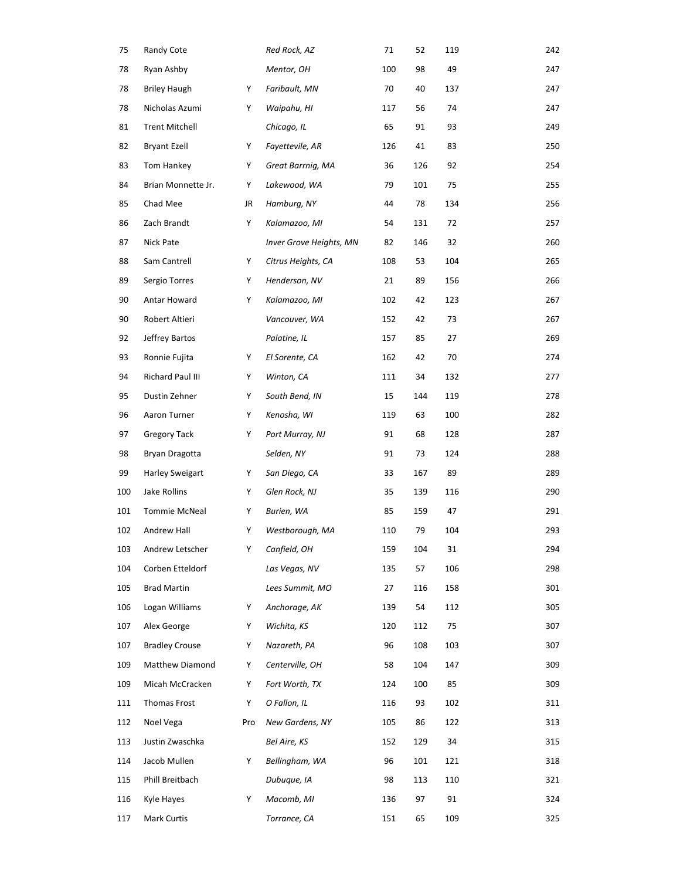| 75  | Randy Cote             |     | Red Rock, AZ            | 71  | 52  | 119 | 242 |
|-----|------------------------|-----|-------------------------|-----|-----|-----|-----|
| 78  | Ryan Ashby             |     | Mentor, OH              | 100 | 98  | 49  | 247 |
| 78  | <b>Briley Haugh</b>    | Υ   | Faribault, MN           | 70  | 40  | 137 | 247 |
| 78  | Nicholas Azumi         | Υ   | Waipahu, HI             | 117 | 56  | 74  | 247 |
| 81  | <b>Trent Mitchell</b>  |     | Chicago, IL             | 65  | 91  | 93  | 249 |
| 82  | Bryant Ezell           | Υ   | Fayettevile, AR         | 126 | 41  | 83  | 250 |
| 83  | Tom Hankey             | Υ   | Great Barrnig, MA       | 36  | 126 | 92  | 254 |
| 84  | Brian Monnette Jr.     | Υ   | Lakewood, WA            | 79  | 101 | 75  | 255 |
| 85  | Chad Mee               | JR  | Hamburg, NY             | 44  | 78  | 134 | 256 |
| 86  | Zach Brandt            | Υ   | Kalamazoo, MI           | 54  | 131 | 72  | 257 |
| 87  | Nick Pate              |     | Inver Grove Heights, MN | 82  | 146 | 32  | 260 |
| 88  | Sam Cantrell           | Y   | Citrus Heights, CA      | 108 | 53  | 104 | 265 |
| 89  | Sergio Torres          | Υ   | Henderson, NV           | 21  | 89  | 156 | 266 |
| 90  | Antar Howard           | Y   | Kalamazoo, MI           | 102 | 42  | 123 | 267 |
| 90  | Robert Altieri         |     | Vancouver, WA           | 152 | 42  | 73  | 267 |
| 92  | Jeffrey Bartos         |     | Palatine, IL            | 157 | 85  | 27  | 269 |
| 93  | Ronnie Fujita          | Υ   | El Sorente, CA          | 162 | 42  | 70  | 274 |
| 94  | Richard Paul III       | Y   | Winton, CA              | 111 | 34  | 132 | 277 |
| 95  | Dustin Zehner          | Υ   | South Bend, IN          | 15  | 144 | 119 | 278 |
| 96  | Aaron Turner           | Υ   | Kenosha, WI             | 119 | 63  | 100 | 282 |
| 97  | <b>Gregory Tack</b>    | Υ   | Port Murray, NJ         | 91  | 68  | 128 | 287 |
| 98  | Bryan Dragotta         |     | Selden, NY              | 91  | 73  | 124 | 288 |
| 99  | <b>Harley Sweigart</b> | Υ   | San Diego, CA           | 33  | 167 | 89  | 289 |
| 100 | Jake Rollins           | Υ   | Glen Rock, NJ           | 35  | 139 | 116 | 290 |
| 101 | Tommie McNeal          | Υ   | Burien, WA              | 85  | 159 | 47  | 291 |
| 102 | Andrew Hall            | Y   | Westborough, MA         | 110 | 79  | 104 | 293 |
| 103 | Andrew Letscher        | Y   | Canfield, OH            | 159 | 104 | 31  | 294 |
| 104 | Corben Etteldorf       |     | Las Vegas, NV           | 135 | 57  | 106 | 298 |
| 105 | <b>Brad Martin</b>     |     | Lees Summit, MO         | 27  | 116 | 158 | 301 |
| 106 | Logan Williams         | Υ   | Anchorage, AK           | 139 | 54  | 112 | 305 |
| 107 | Alex George            | Y   | Wichita, KS             | 120 | 112 | 75  | 307 |
| 107 | <b>Bradley Crouse</b>  | Y   | Nazareth, PA            | 96  | 108 | 103 | 307 |
| 109 | Matthew Diamond        | Y   | Centerville, OH         | 58  | 104 | 147 | 309 |
| 109 | Micah McCracken        | Υ   | Fort Worth, TX          | 124 | 100 | 85  | 309 |
| 111 | Thomas Frost           | Y   | O Fallon, IL            | 116 | 93  | 102 | 311 |
| 112 | Noel Vega              | Pro | New Gardens, NY         | 105 | 86  | 122 | 313 |
| 113 | Justin Zwaschka        |     | Bel Aire, KS            | 152 | 129 | 34  | 315 |
| 114 | Jacob Mullen           | Υ   | Bellingham, WA          | 96  | 101 | 121 | 318 |
| 115 | Phill Breitbach        |     | Dubuque, IA             | 98  | 113 | 110 | 321 |
| 116 | Kyle Hayes             | Υ   | Macomb, MI              | 136 | 97  | 91  | 324 |
| 117 | Mark Curtis            |     | Torrance, CA            | 151 | 65  | 109 | 325 |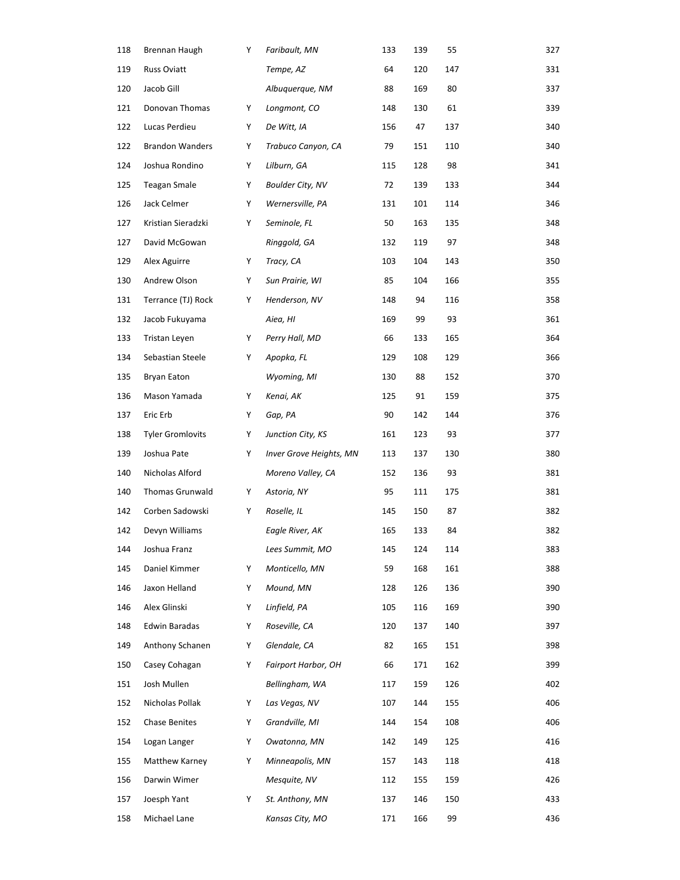| 118 | Brennan Haugh           | Y | Faribault, MN                  | 133 | 139 | 55  | 327 |
|-----|-------------------------|---|--------------------------------|-----|-----|-----|-----|
| 119 | <b>Russ Oviatt</b>      |   | Tempe, AZ                      | 64  | 120 | 147 | 331 |
| 120 | Jacob Gill              |   | Albuquerque, NM                | 88  | 169 | 80  | 337 |
| 121 | Donovan Thomas          | Y | Longmont, CO                   | 148 | 130 | 61  | 339 |
| 122 | Lucas Perdieu           | Y | De Witt, IA                    | 156 | 47  | 137 | 340 |
| 122 | <b>Brandon Wanders</b>  | Y | Trabuco Canyon, CA             | 79  | 151 | 110 | 340 |
| 124 | Joshua Rondino          | Y | Lilburn, GA                    | 115 | 128 | 98  | 341 |
| 125 | <b>Teagan Smale</b>     | Y | Boulder City, NV               | 72  | 139 | 133 | 344 |
| 126 | Jack Celmer             | Y | Wernersville, PA               | 131 | 101 | 114 | 346 |
| 127 | Kristian Sieradzki      | Y | Seminole, FL                   | 50  | 163 | 135 | 348 |
| 127 | David McGowan           |   | Ringgold, GA                   | 132 | 119 | 97  | 348 |
| 129 | Alex Aguirre            | Y | Tracy, CA                      | 103 | 104 | 143 | 350 |
| 130 | Andrew Olson            | Y | Sun Prairie, WI                | 85  | 104 | 166 | 355 |
| 131 | Terrance (TJ) Rock      | Y | Henderson, NV                  | 148 | 94  | 116 | 358 |
| 132 | Jacob Fukuyama          |   | Aiea, HI                       | 169 | 99  | 93  | 361 |
| 133 | Tristan Leyen           | Y | Perry Hall, MD                 | 66  | 133 | 165 | 364 |
| 134 | Sebastian Steele        | Υ | Apopka, FL                     | 129 | 108 | 129 | 366 |
| 135 | Bryan Eaton             |   | Wyoming, MI                    | 130 | 88  | 152 | 370 |
| 136 | Mason Yamada            | Y | Kenai, AK                      | 125 | 91  | 159 | 375 |
| 137 | Eric Erb                | Y | Gap, PA                        | 90  | 142 | 144 | 376 |
| 138 | <b>Tyler Gromlovits</b> | Y | Junction City, KS              | 161 | 123 | 93  | 377 |
| 139 | Joshua Pate             | Υ | <b>Inver Grove Heights, MN</b> | 113 | 137 | 130 | 380 |
| 140 | Nicholas Alford         |   | Moreno Valley, CA              | 152 | 136 | 93  | 381 |
| 140 | <b>Thomas Grunwald</b>  | Y | Astoria, NY                    | 95  | 111 | 175 | 381 |
| 142 | Corben Sadowski         | Υ | Roselle, IL                    | 145 | 150 | 87  | 382 |
| 142 | Devyn Williams          |   | Eagle River, AK                | 165 | 133 | 84  | 382 |
| 144 | Joshua Franz            |   | Lees Summit, MO                | 145 | 124 | 114 | 383 |
| 145 | Daniel Kimmer           | Y | Monticello, MN                 | 59  | 168 | 161 | 388 |
| 146 | Jaxon Helland           | Y | Mound, MN                      | 128 | 126 | 136 | 390 |
| 146 | Alex Glinski            | Y | Linfield, PA                   | 105 | 116 | 169 | 390 |
| 148 | Edwin Baradas           | Y | Roseville, CA                  | 120 | 137 | 140 | 397 |
| 149 | Anthony Schanen         | Y | Glendale, CA                   | 82  | 165 | 151 | 398 |
| 150 | Casey Cohagan           | Y | <b>Fairport Harbor, OH</b>     | 66  | 171 | 162 | 399 |
| 151 | Josh Mullen             |   | Bellingham, WA                 | 117 | 159 | 126 | 402 |
| 152 | Nicholas Pollak         | Y | Las Vegas, NV                  | 107 | 144 | 155 | 406 |
| 152 | Chase Benites           | Y | Grandville, MI                 | 144 | 154 | 108 | 406 |
| 154 | Logan Langer            | Y | Owatonna, MN                   | 142 | 149 | 125 | 416 |
| 155 | Matthew Karney          | Y | Minneapolis, MN                | 157 | 143 | 118 | 418 |
| 156 | Darwin Wimer            |   | Mesquite, NV                   | 112 | 155 | 159 | 426 |
| 157 | Joesph Yant             | Y | St. Anthony, MN                | 137 | 146 | 150 | 433 |
| 158 | Michael Lane            |   | Kansas City, MO                | 171 | 166 | 99  | 436 |